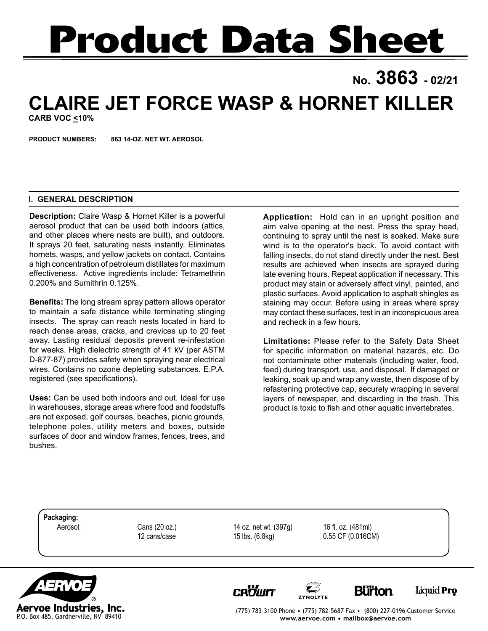# **Product Data Sheet**

## **No. 3863 - 02/21 CLAIRE JET FORCE WASP & HORNET KILLER**

**CARB VOC <10%**

**PRODUCT NUMBERS: 863 14-OZ. NET WT. AEROSOL**

### **I. GENERAL DESCRIPTION**

**Description:** Claire Wasp & Hornet Killer is a powerful aerosol product that can be used both indoors (attics, and other places where nests are built), and outdoors. It sprays 20 feet, saturating nests instantly. Eliminates hornets, wasps, and yellow jackets on contact. Contains a high concentration of petroleum distillates for maximum effectiveness. Active ingredients include: Tetramethrin 0.200% and Sumithrin 0.125%.

**Benefits:** The long stream spray pattern allows operator to maintain a safe distance while terminating stinging insects. The spray can reach nests located in hard to reach dense areas, cracks, and crevices up to 20 feet away. Lasting residual deposits prevent re-infestation for weeks. High dielectric strength of 41 kV (per ASTM D-877-87) provides safety when spraying near electrical wires. Contains no ozone depleting substances. E.P.A. registered (see specifications).

**Uses:** Can be used both indoors and out. Ideal for use in warehouses, storage areas where food and foodstuffs are not exposed, golf courses, beaches, picnic grounds, telephone poles, utility meters and boxes, outside surfaces of door and window frames, fences, trees, and bushes.

**Application:** Hold can in an upright position and aim valve opening at the nest. Press the spray head, continuing to spray until the nest is soaked. Make sure wind is to the operator's back. To avoid contact with falling insects, do not stand directly under the nest. Best results are achieved when insects are sprayed during late evening hours. Repeat application if necessary. This product may stain or adversely affect vinyl, painted, and plastic surfaces. Avoid application to asphalt shingles as staining may occur. Before using in areas where spray may contact these surfaces, test in an inconspicuous area and recheck in a few hours.

**Limitations:** Please refer to the Safety Data Sheet for specific information on material hazards, etc. Do not contaminate other materials (including water, food, feed) during transport, use, and disposal. If damaged or leaking, soak up and wrap any waste, then dispose of by refastening protective cap, securely wrapping in several layers of newspaper, and discarding in the trash. This product is toxic to fish and other aquatic invertebrates.

**Packaging:**

Aerosol: Cans (20 oz.) 14 oz. net wt. (397g) 16 fl. oz. (481ml)

12 cans/case 15 lbs. (6.8kg) 0.55 CF (0.016CM)



**CROUIT** 







(775) 783-3100 Phone • (775) 782-5687 Fax • (800) 227-0196 Customer Service **www.aervoe.com • mailbox@aervoe.com**